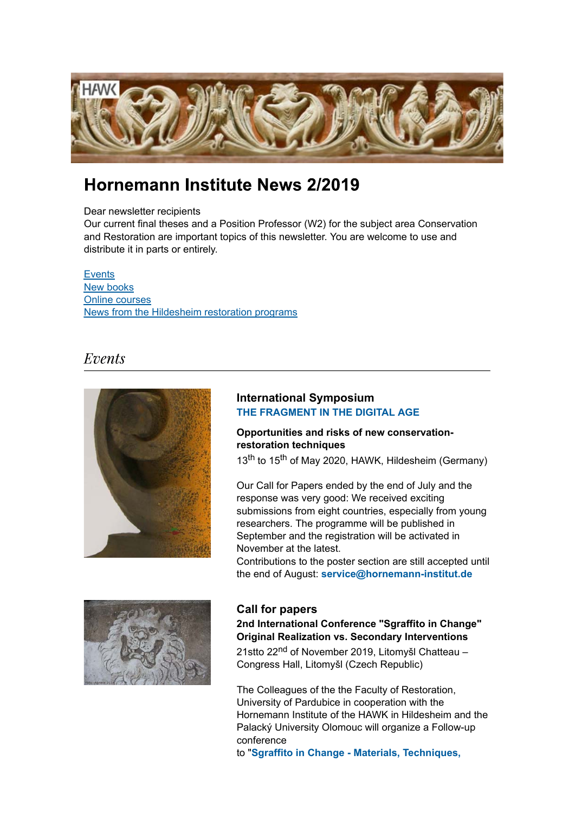

# Hornemann Institute News 2/2019

### Dear newsletter recipients

Our current final theses and a Position Professor (W2) for the subject area Conservation and Restoration are important topics of this newsletter. You are welcome to use and distribute it in parts or entirely.

**Events** New books Online courses News from the Hildesheim restoration programs

# Events



## **International Symposium THE FRAGMENT IN THE DIGITAL AGE**

## **Opportunities and risks of new conservationrestoration techniques**

13<sup>th</sup> to 15<sup>th</sup> of May 2020, HAWK, Hildesheim (Germany)

Our Call for Papers ended by the end of July and the response was very good: We received exciting submissions from eight countries, especially from young researchers. The programme will be published in September and the registration will be activated in November at the latest.

Contributions to the poster section are still accepted until the end of August: **service@hornemann-institut.de**



### **Call for papers**

**2nd International Conference "Sgraffito in Change" Original Realization vs. Secondary Interventions**

21stto 22<sup>nd</sup> of November 2019, Litomyšl Chatteau – Congress Hall, Litomyšl (Czech Republic)

The Colleagues of the the Faculty of Restoration, University of Pardubice in cooperation with the Hornemann Institute of the HAWK in Hildesheim and the Palacký University Olomouc will organize a Follow-up conference

to "**Sgraffito in Change - Materials, Techniques,**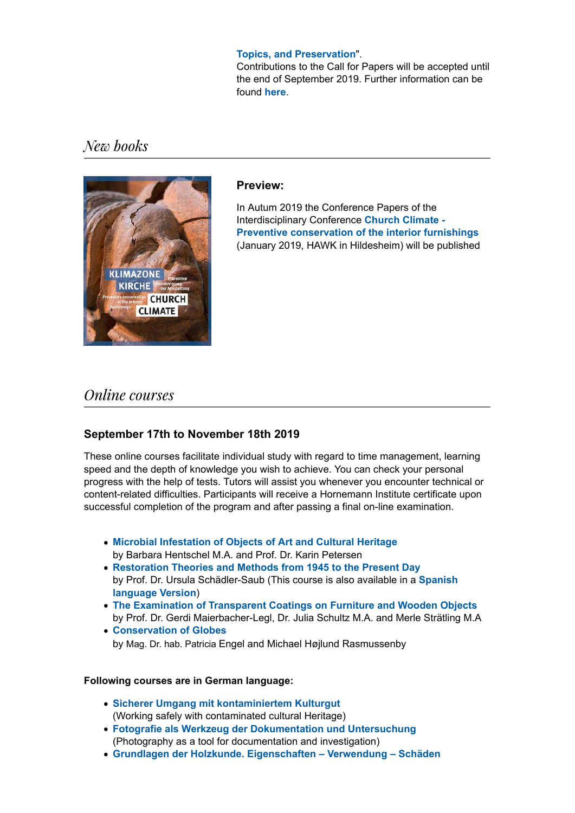### **Topics, and Preservation**".

Contributions to the Call for Papers will be accepted until the end of September 2019. Further information can be found **here**.

New books



### **Preview:**

In Autum 2019 the Conference Papers of the Interdisciplinary Conference **Church Climate - Preventive conservation of the interior furnishings** (January 2019, HAWK in Hildesheim) will be published

# **Online** courses

## **September 17th to November 18th 2019**

These online courses facilitate individual study with regard to time management, learning speed and the depth of knowledge you wish to achieve. You can check your personal progress with the help of tests. Tutors will assist you whenever you encounter technical or content-related difficulties. Participants will receive a Hornemann Institute certificate upon successful completion of the program and after passing a final on-line examination.

- **Microbial Infestation of Objects of Art and Cultural Heritage** by Barbara Hentschel M.A. and Prof. Dr. Karin Petersen
- **Restoration Theories and Methods from 1945 to the Present Day** by Prof. Dr. Ursula Schädler-Saub (This course is also available in a **Spanish language Version**)
- **The Examination of Transparent Coatings on Furniture and Wooden Objects** by Prof. Dr. Gerdi Maierbacher-Legl, Dr. Julia Schultz M.A. and Merle Strätling M.A
- **Conservation of Globes** by Mag. Dr. hab. Patricia Engel and Michael Højlund Rasmussenby

### **Following courses are in German language:**

- **Sicherer Umgang mit kontaminiertem Kulturgut** (Working safely with contaminated cultural Heritage)
- **Fotografie als Werkzeug der Dokumentation und Untersuchung** (Photography as a tool for documentation and investigation)
- **Grundlagen der Holzkunde. Eigenschaften Verwendung Schäden**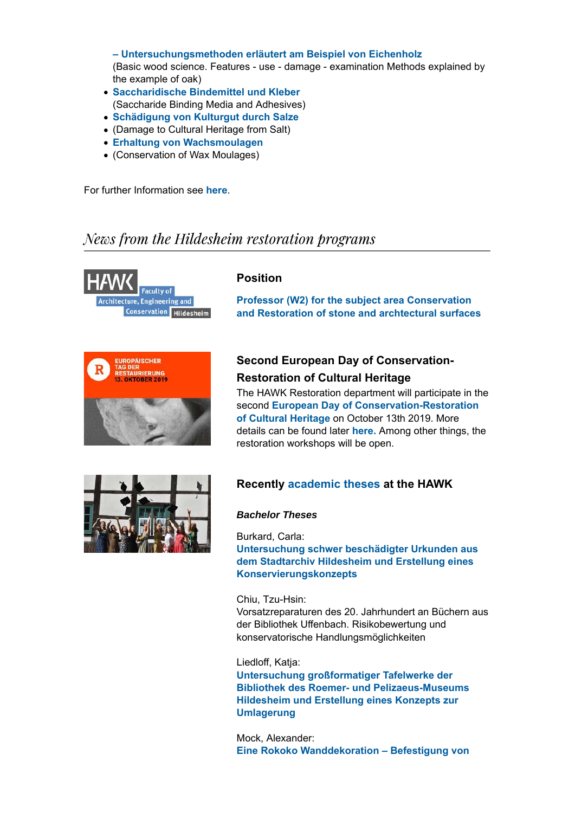**– Untersuchungsmethoden erläutert am Beispiel von Eichenholz** (Basic wood science. Features - use - damage - examination Methods explained by the example of oak)

- **Saccharidische Bindemittel und Kleber** (Saccharide Binding Media and Adhesives)
- **Schädigung von Kulturgut durch Salze**
- (Damage to Cultural Heritage from Salt)
- **Erhaltung von Wachsmoulagen**
- (Conservation of Wax Moulages)

For further Information see **here**.

# News from the Hildesheim restoration programs



# **Position**

**Professor (W2) for the subject area Conservation and Restoration of stone and archtectural surfaces**



# **Second European Day of Conservation-Restoration of Cultural Heritage**

The HAWK Restoration department will participate in the second **European Day of Conservation-Restoration of Cultural Heritage** on October 13th 2019. More details can be found later **here.** Among other things, the restoration workshops will be open.



# **Recently academic theses at the HAWK**

### *Bachelor Theses*

Burkard, Carla:

**Untersuchung schwer beschädigter Urkunden aus dem Stadtarchiv Hildesheim und Erstellung eines Konservierungskonzepts**

Chiu, Tzu-Hsin:

Vorsatzreparaturen des 20. Jahrhundert an Büchern aus der Bibliothek Uffenbach. Risikobewertung und konservatorische Handlungsmöglichkeiten

### Liedloff, Katja:

**Untersuchung großformatiger Tafelwerke der Bibliothek des Roemer- und Pelizaeus-Museums Hildesheim und Erstellung eines Konzepts zur Umlagerung**

Mock, Alexander: **Eine Rokoko Wanddekoration – Befestigung von**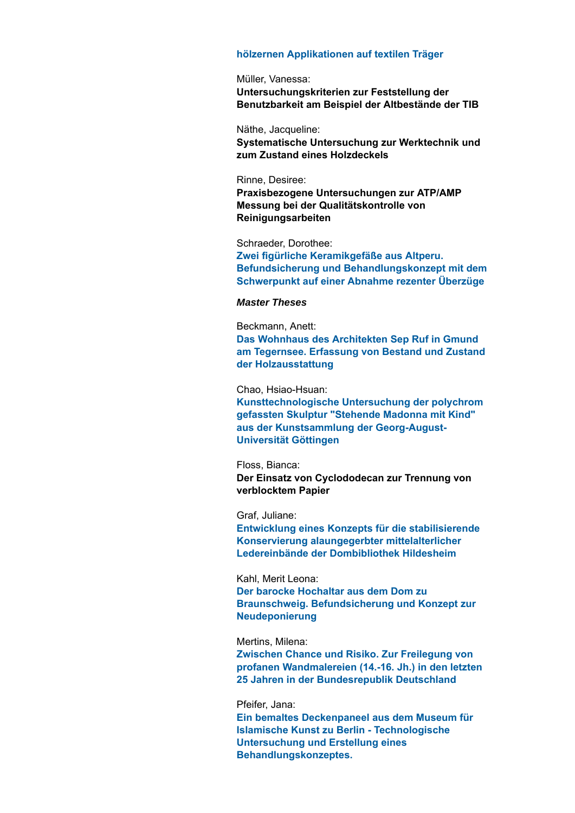#### **hölzernen Applikationen auf textilen Träger**

Müller, Vanessa: **Untersuchungskriterien zur Feststellung der Benutzbarkeit am Beispiel der Altbestände der TIB**

Näthe, Jacqueline: **Systematische Untersuchung zur Werktechnik und zum Zustand eines Holzdeckels**

### Rinne, Desiree:

**Praxisbezogene Untersuchungen zur ATP/AMP Messung bei der Qualitätskontrolle von Reinigungsarbeiten**

Schraeder, Dorothee: **Zwei figürliche Keramikgefäße aus Altperu. Befundsicherung und Behandlungskonzept mit dem Schwerpunkt auf einer Abnahme rezenter Überzüge**

### *Master Theses*

Beckmann, Anett: **Das Wohnhaus des Architekten Sep Ruf in Gmund am Tegernsee. Erfassung von Bestand und Zustand der Holzausstattung**

#### Chao, Hsiao-Hsuan:

**Kunsttechnologische Untersuchung der polychrom gefassten Skulptur "Stehende Madonna mit Kind" aus der Kunstsammlung der Georg-August-Universität Göttingen**

#### Floss, Bianca:

**Der Einsatz von Cyclododecan zur Trennung von verblocktem Papier**

Graf, Juliane:

**Entwicklung eines Konzepts für die stabilisierende Konservierung alaungegerbter mittelalterlicher Ledereinbände der Dombibliothek Hildesheim**

### Kahl, Merit Leona:

**Der barocke Hochaltar aus dem Dom zu Braunschweig. Befundsicherung und Konzept zur Neudeponierung**

### Mertins, Milena:

**Zwischen Chance und Risiko. Zur Freilegung von profanen Wandmalereien (14.-16. Jh.) in den letzten 25 Jahren in der Bundesrepublik Deutschland**

### Pfeifer, Jana:

**Ein bemaltes Deckenpaneel aus dem Museum für Islamische Kunst zu Berlin - Technologische Untersuchung und Erstellung eines Behandlungskonzeptes.**